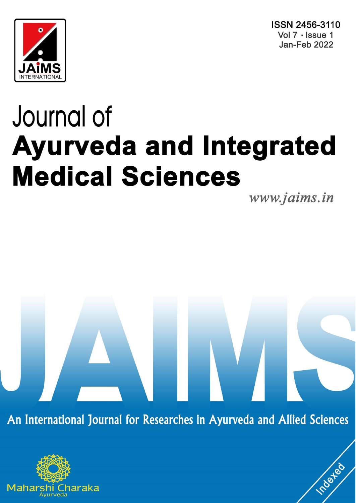



# Journal of **Ayurveda and Integrated Medical Sciences**

www.jaims.in

roated

An International Journal for Researches in Ayurveda and Allied Sciences

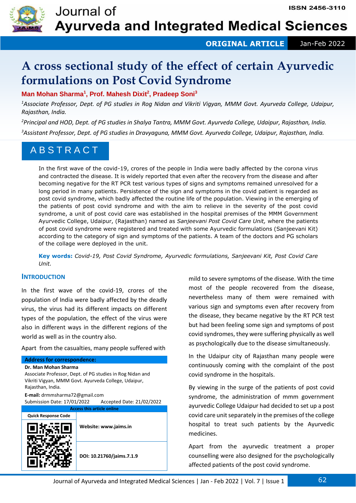

 **ORIGINAL ARTICLE** Jan-Feb 2022

# **A cross sectional study of the effect of certain Ayurvedic formulations on Post Covid Syndrome**

**Man Mohan Sharma<sup>1</sup> , Prof. Mahesh Dixit<sup>2</sup> , Pradeep Soni<sup>3</sup>**

*<sup>1</sup>Associate Professor, Dept. of PG studies in Rog Nidan and Vikriti Vigyan, MMM Govt. Ayurveda College, Udaipur, Rajasthan, India.*

*<sup>2</sup>Principal and HOD, Dept. of PG studies in Shalya Tantra, MMM Govt. Ayurveda College, Udaipur, Rajasthan, India.*

*<sup>3</sup>Assistant Professor, Dept. of PG studies in Dravyaguna, MMM Govt. Ayurveda College, Udaipur, Rajasthan, India.*

## A B S T R A C T

In the first wave of the covid-19, crores of the people in India were badly affected by the corona virus and contracted the disease. It is widely reported that even after the recovery from the disease and after becoming negative for the RT PCR test various types of signs and symptoms remained unresolved for a long period in many patients. Persistence of the sign and symptoms in the covid patient is regarded as post covid syndrome, which badly affected the routine life of the population. Viewing in the emerging of the patients of post covid syndrome and with the aim to relieve in the severity of the post covid syndrome, a unit of post covid care was established in the hospital premises of the MMM Government Ayurvedic College, Udaipur, (Rajasthan) named as *Sanjeevani Post Covid Care Unit,* where the patients of post covid syndrome were registered and treated with some Ayurvedic formulations (Sanjeevani Kit) according to the category of sign and symptoms of the patients. A team of the doctors and PG scholars of the collage were deployed in the unit.

**Key words:** *Covid-19, Post Covid Syndrome, Ayurvedic formulations, Sanjeevani Kit, Post Covid Care Unit.*

### **INTRODUCTION**

In the first wave of the covid-19, crores of the population of India were badly affected by the deadly virus, the virus had its different impacts on different types of the population, the effect of the virus were also in different ways in the different regions of the world as well as in the country also.

Apart from the casualties, many people suffered with

#### **Address for correspondence:**

**Dr. Man Mohan Sharma** Associate Professor, Dept. of PG studies in Rog Nidan and Vikriti Vigyan, MMM Govt. Ayurveda College, Udaipur, Rajasthan, India. **E-mail:** drmmsharma72@gmail.com

Submission Date: 17/01/2022 Accepted Date: 21/02/2022



mild to severe symptoms of the disease. With the time most of the people recovered from the disease, nevertheless many of them were remained with various sign and symptoms even after recovery from the disease, they became negative by the RT PCR test but had been feeling some sign and symptoms of post covid syndromes, they were suffering physically as well as psychologically due to the disease simultaneously.

In the Udaipur city of Rajasthan many people were continuously coming with the complaint of the post covid syndrome in the hospitals.

By viewing in the surge of the patients of post covid syndrome, the administration of mmm government ayurvedic College Udaipur had decided to set up a post covid care unit separately in the premises of the college hospital to treat such patients by the Ayurvedic medicines.

Apart from the ayurvedic treatment a proper counselling were also designed for the psychologically affected patients of the post covid syndrome.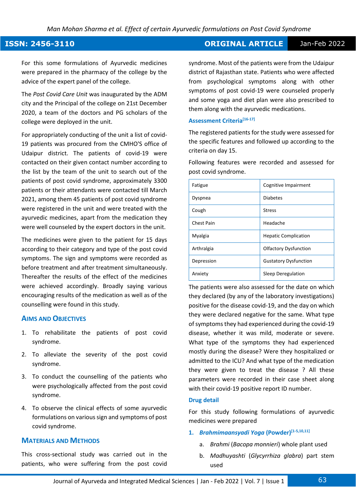#### **ISSN: 2456-3110 ORIGINAL ARTICLE** Jan-Feb 2022

For this some formulations of Ayurvedic medicines were prepared in the pharmacy of the college by the advice of the expert panel of the college.

The *Post Covid Care Unit* was inaugurated by the ADM city and the Principal of the college on 21st December 2020, a team of the doctors and PG scholars of the college were deployed in the unit.

For appropriately conducting of the unit a list of covid-19 patients was procured from the CMHO'S office of Udaipur district. The patients of covid-19 were contacted on their given contact number according to the list by the team of the unit to search out of the patients of post covid syndrome, approximately 3300 patients or their attendants were contacted till March 2021, among them 45 patients of post covid syndrome were registered in the unit and were treated with the ayurvedic medicines, apart from the medication they were well counseled by the expert doctors in the unit.

The medicines were given to the patient for 15 days according to their category and type of the post covid symptoms. The sign and symptoms were recorded as before treatment and after treatment simultaneously. Thereafter the results of the effect of the medicines were achieved accordingly. Broadly saying various encouraging results of the medication as well as of the counselling were found in this study.

#### **AIMS AND OBJECTIVES**

- 1. To rehabilitate the patients of post covid syndrome.
- 2. To alleviate the severity of the post covid syndrome.
- 3. To conduct the counselling of the patients who were psychologically affected from the post covid syndrome.
- 4. To observe the clinical effects of some ayurvedic formulations on various sign and symptoms of post covid syndrome.

#### **MATERIALS AND METHODS**

This cross-sectional study was carried out in the patients, who were suffering from the post covid syndrome. Most of the patients were from the Udaipur district of Rajasthan state. Patients who were affected from psychological symptoms along with other symptoms of post covid-19 were counseled properly and some yoga and diet plan were also prescribed to them along with the ayurvedic medications.

#### **Assessment Criteria[16-17]**

The registered patients for the study were assessed for the specific features and followed up according to the criteria on day 15.

Following features were recorded and assessed for post covid syndrome.

| Fatigue           | Cognitive Impairment         |
|-------------------|------------------------------|
| Dyspnea           | <b>Diabetes</b>              |
| Cough             | <b>Stress</b>                |
| <b>Chest Pain</b> | Headache                     |
| Myalgia           | <b>Hepatic Complication</b>  |
| Arthralgia        | <b>Olfactory Dysfunction</b> |
| Depression        | <b>Gustatory Dysfunction</b> |
| Anxiety           | Sleep Deregulation           |

The patients were also assessed for the date on which they declared (by any of the laboratory investigations) positive for the disease covid-19, and the day on which they were declared negative for the same. What type of symptoms they had experienced during the covid-19 disease, whether it was mild, moderate or severe. What type of the symptoms they had experienced mostly during the disease? Were they hospitalized or admitted to the ICU? And what type of the medication they were given to treat the disease ? All these parameters were recorded in their case sheet along with their covid-19 positive report ID number.

#### **Drug detail**

For this study following formulations of ayurvedic medicines were prepared

#### **1.** *Brahmimaansyadi Yoga* **(Powder)[1-5,10,11]**

- a. *Brahmi* (*Bacopa monnieri*) whole plant used
- b. *Madhuyashti* (*Glycyrrhiza glabra*) part stem used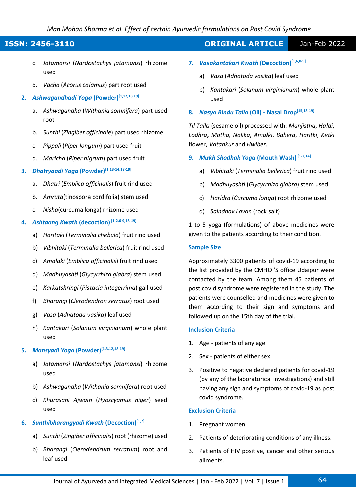#### *Man Mohan Sharma et al. Effect of certain Ayurvedic formulations on Post Covid Syndrome*

- c. *Jatamansi* (*Nardostachys jatamansi*) rhizome used
- d. *Vacha* (*Acorus calamus*) part root used
- **2.** *Ashwagandhadi Yoga* **(Powder)[1,12,18,19]**
	- a. *Ashwagandha* (*Withania somnifera*) part used root
	- b. *Sunthi* (*Zingiber officinale*) part used rhizome
	- c. *Pippali* (*Piper longum*) part used fruit
	- d. *Maricha* (*Piper nigrum*) part used fruit

## **3.** *Dhatryaadi Yoga* **(Powder)[1,13-14,18-19]**

- a. *Dhatri* (*Emblica officinalis*) fruit rind used
- b. *Amruta*(tinospora cordifolia) stem used
- c. *Nisha*(curcuma longa) rhizome used

#### **4.** *Ashtaang Kwath* **(decoction) [1-2,6-9,18-19]**

- a) *Haritaki* (*Terminalia chebula*) fruit rind used
- b) *Vibhitaki* (*Terminalia bellerica*) fruit rind used
- c) *Amalaki* (*Emblica officinalis*) fruit rind used
- d) *Madhuyashti* (*Glycyrrhiza glabra*) stem used
- e) *Karkatshringi* (*Pistacia integerrima*) gall used
- f) *Bharangi* (*Clerodendron serratus*) root used
- g) *Vasa* (*Adhatoda vasika*) leaf used
- h) *Kantakari* (*Solanum virginianum*) whole plant used

#### **5.** *Mansyadi Yoga* **(Powder)[1,3,12,18-19]**

- a) *Jatamansi* (*Nardostachys jatamansi*) rhizome used
- b) *Ashwagandha* (*Withania somnifera*) root used
- c) *Khurasani Ajwain* (*Hyoscyamus niger*) seed used

#### **6.** *Sunthibharangyadi Kwath* **(Decoction)[1,7]**

- a) *Sunthi* (*Zingiber officinalis*) root (rhizome) used
- b) *Bharangi* (*Clerodendrum serratum*) root and leaf used

## **ISSN: 2456-3110 ORIGINAL ARTICLE** Jan-Feb 2022

- **7.** *Vasakantakari Kwath* **(Decoction)[1,6,8-9]**
	- a) *Vasa* (*Adhatoda vasika*) leaf used
	- b) *Kantakari* (*Solanum virginianum*) whole plant used
- **8.** *Nasya Bindu Taila* **(Oil) - Nasal Drop[15,18-19]**

*Til Taila* (sesame oil) processed with: *Manjistha*, *Haldi*, *Lodhra*, *Motha, Nalika*, *Amalki*, *Bahera*, *Haritki*, *Ketki* flower, *Vatankur* and *Hwiber*.

- **9.** *Mukh Shodhak Yoga* **(Mouth Wash) [1-2,14]**
	- a) *Vibhitaki* (*Terminalia bellerica*) fruit rind used
	- b) *Madhuyashti* (*Glycyrrhiza glabra*) stem used
	- c) *Haridra* (*Curcuma longa*) root rhizome used
	- d) *Saindhav Lavan* (rock salt)

1 to 5 yoga (formulations) of above medicines were given to the patients according to their condition.

#### **Sample Size**

Approximately 3300 patients of covid-19 according to the list provided by the CMHO 'S office Udaipur were contacted by the team. Among them 45 patients of post covid syndrome were registered in the study. The patients were counselled and medicines were given to them according to their sign and symptoms and followed up on the 15th day of the trial.

#### **Inclusion Criteria**

- 1. Age patients of any age
- 2. Sex patients of either sex
- 3. Positive to negative declared patients for covid-19 (by any of the laboratorical investigations) and still having any sign and symptoms of covid-19 as post covid syndrome.

#### **Exclusion Criteria**

- 1. Pregnant women
- 2. Patients of deteriorating conditions of any illness.
- 3. Patients of HIV positive, cancer and other serious ailments.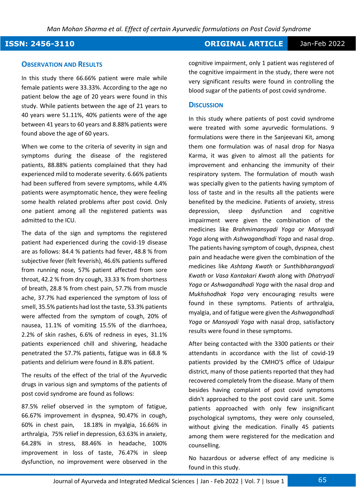#### **OBSERVATION AND RESULTS**

In this study there 66.66% patient were male while female patients were 33.33%. According to the age no patient below the age of 20 years were found in this study. While patients between the age of 21 years to 40 years were 51.11%, 40% patients were of the age between 41 years to 60 years and 8.88% patients were found above the age of 60 years.

When we come to the criteria of severity in sign and symptoms during the disease of the registered patients, 88.88% patients complained that they had experienced mild to moderate severity. 6.66% patients had been suffered from severe symptoms, while 4.4% patients were asymptomatic hence, they were feeling some health related problems after post covid. Only one patient among all the registered patients was admitted to the ICU.

The data of the sign and symptoms the registered patient had experienced during the covid-19 disease are as follows: 84.4 % patients had fever, 48.8 % from subjective fever (felt feverish), 46.6% patients suffered from running nose, 57% patient affected from sore throat, 42.2 % from dry cough, 33.33 % from shortness of breath, 28.8 % from chest pain, 57.7% from muscle ache, 37.7% had experienced the symptom of loss of smell, 35.5% patients had lost the taste, 53.3% patients were affected from the symptom of cough, 20% of nausea, 11.1% of vomiting 15.5% of the diarrhoea, 2.2% of skin rashes, 6.6% of redness in eyes, 31.1% patients experienced chill and shivering, headache penetrated the 57.7% patients, fatigue was in 68.8 % patients and delirium were found in 8.8% patient.

The results of the effect of the trial of the Ayurvedic drugs in various sign and symptoms of the patients of post covid syndrome are found as follows:

87.5% relief observed in the symptom of fatigue, 66.67% improvement in dyspnea, 90.47% in cough, 60% in chest pain, 18.18% in myalgia, 16.66% in arthralgia, 75% relief in depression, 63.63% in anxiety, 64.28% in stress, 88.46% in headache, 100% improvement in loss of taste, 76.47% in sleep dysfunction, no improvement were observed in the cognitive impairment, only 1 patient was registered of the cognitive impairment in the study, there were not very significant results were found in controlling the blood sugar of the patients of post covid syndrome.

#### **DISCUSSION**

In this study where patients of post covid syndrome were treated with some ayurvedic formulations. 9 formulations were there in the Sanjeevani Kit, among them one formulation was of nasal drop for Nasya Karma, it was given to almost all the patients for improvement and enhancing the immunity of their respiratory system. The formulation of mouth wash was specially given to the patients having symptom of loss of taste and in the results all the patients were benefited by the medicine. Patients of anxiety, stress depression, sleep dysfunction and cognitive impairment were given the combination of the medicines like *Brahmimansyadi Yoga* or *Mansyadi Yoga* along with *Ashwagandhadi Yoga* and nasal drop. The patients having symptom of cough, dyspnea, chest pain and headache were given the combination of the medicines like *Ashtang Kwath* or *Sunthibharangyadi Kwath* or *Vasa Kantakari Kwath* along with *Dhatryadi Yoga* or *Ashwagandhadi Yoga* with the nasal drop and *Mukhshodhak Yoga* very encouraging results were found in these symptoms. Patients of arthralgia, myalgia, and of fatigue were given the *Ashwagandhadi Yoga* or *Mansyadi Yoga* with nasal drop, satisfactory results were found in these symptoms.

After being contacted with the 3300 patients or their attendants in accordance with the list of covid-19 patients provided by the CMHO'S office of Udaipur district, many of those patients reported that they had recovered completely from the disease. Many of them besides having complaint of post covid symptoms didn't approached to the post covid care unit. Some patients approached with only few insignificant psychological symptoms, they were only counseled, without giving the medication. Finally 45 patients among them were registered for the medication and counselling.

No hazardous or adverse effect of any medicine is found in this study.

## **ISSN: 2456-3110 ORIGINAL ARTICLE** Jan-Feb 2022